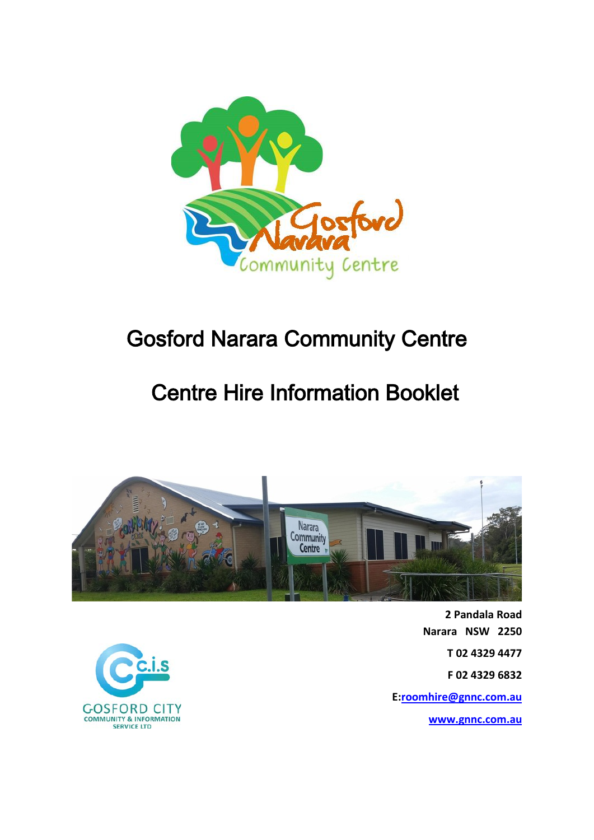

# Gosford Narara Community Centre

# Centre Hire Information Booklet



**2 Pandala Road Narara NSW 2250 T 02 4329 4477 F 02 4329 6832 E[:roomhire@gnnc.com.au](mailto:roomhire@gnnc.com.au)**

**[www.gnnc.com.au](http://www.gnnc.com.au/)**

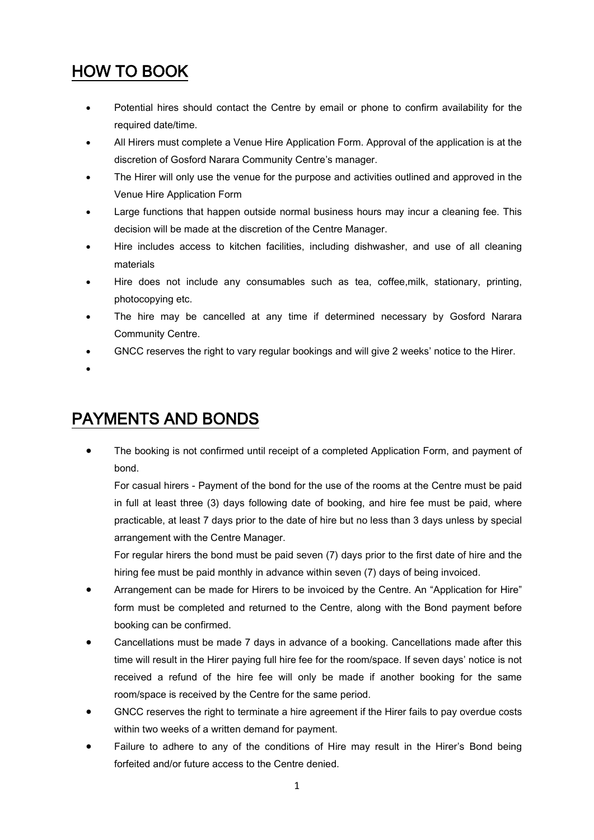# HOW TO BOOK

- Potential hires should contact the Centre by email or phone to confirm availability for the required date/time.
- All Hirers must complete a Venue Hire Application Form. Approval of the application is at the discretion of Gosford Narara Community Centre's manager.
- The Hirer will only use the venue for the purpose and activities outlined and approved in the Venue Hire Application Form
- Large functions that happen outside normal business hours may incur a cleaning fee. This decision will be made at the discretion of the Centre Manager.
- Hire includes access to kitchen facilities, including dishwasher, and use of all cleaning materials
- Hire does not include any consumables such as tea, coffee,milk, stationary, printing, photocopying etc.
- The hire may be cancelled at any time if determined necessary by Gosford Narara Community Centre.
- GNCC reserves the right to vary regular bookings and will give 2 weeks' notice to the Hirer.
- •

# PAYMENTS AND BONDS

• The booking is not confirmed until receipt of a completed Application Form, and payment of bond.

For casual hirers - Payment of the bond for the use of the rooms at the Centre must be paid in full at least three (3) days following date of booking, and hire fee must be paid, where practicable, at least 7 days prior to the date of hire but no less than 3 days unless by special arrangement with the Centre Manager.

For regular hirers the bond must be paid seven (7) days prior to the first date of hire and the hiring fee must be paid monthly in advance within seven (7) days of being invoiced.

- Arrangement can be made for Hirers to be invoiced by the Centre. An "Application for Hire" form must be completed and returned to the Centre, along with the Bond payment before booking can be confirmed.
- Cancellations must be made 7 days in advance of a booking. Cancellations made after this time will result in the Hirer paying full hire fee for the room/space. If seven days' notice is not received a refund of the hire fee will only be made if another booking for the same room/space is received by the Centre for the same period.
- GNCC reserves the right to terminate a hire agreement if the Hirer fails to pay overdue costs within two weeks of a written demand for payment.
- Failure to adhere to any of the conditions of Hire may result in the Hirer's Bond being forfeited and/or future access to the Centre denied.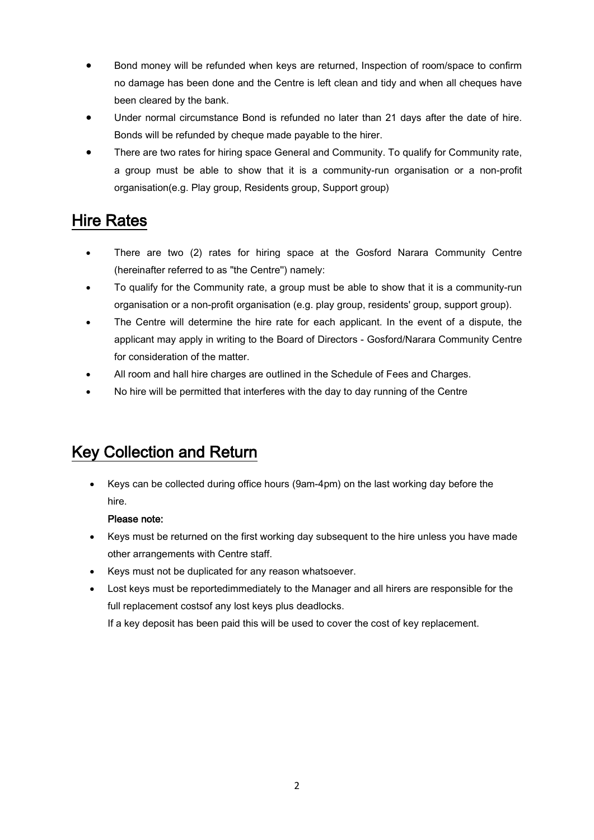- Bond money will be refunded when keys are returned, Inspection of room/space to confirm no damage has been done and the Centre is left clean and tidy and when all cheques have been cleared by the bank.
- Under normal circumstance Bond is refunded no later than 21 days after the date of hire. Bonds will be refunded by cheque made payable to the hirer.
- There are two rates for hiring space General and Community. To qualify for Community rate, a group must be able to show that it is a community-run organisation or a non-profit organisation(e.g. Play group, Residents group, Support group)

### Hire Rates

- There are two (2) rates for hiring space at the Gosford Narara Community Centre (hereinafter referred to as "the Centre'') namely:
- To qualify for the Community rate, a group must be able to show that it is a community-run organisation or a non-profit organisation (e.g. play group, residents' group, support group).
- The Centre will determine the hire rate for each applicant. In the event of a dispute, the applicant may apply in writing to the Board of Directors - Gosford/Narara Community Centre for consideration of the matter.
- All room and hall hire charges are outlined in the Schedule of Fees and Charges.
- No hire will be permitted that interferes with the day to day running of the Centre

# Key Collection and Return

• Keys can be collected during office hours (9am-4pm) on the last working day before the hire.

#### Please note:

- Keys must be returned on the first working day subsequent to the hire unless you have made other arrangements with Centre staff.
- Keys must not be duplicated for any reason whatsoever.
- Lost keys must be reportedimmediately to the Manager and all hirers are responsible for the full replacement costsof any lost keys plus deadlocks.

If a key deposit has been paid this will be used to cover the cost of key replacement.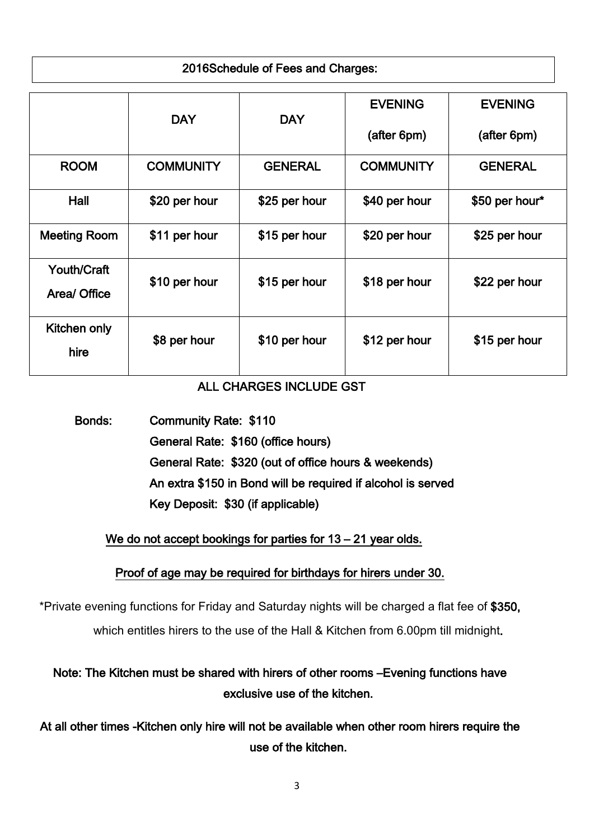### 2016Schedule of Fees and Charges:

|                     | <b>DAY</b>       | <b>DAY</b>     | <b>EVENING</b><br>(after 6pm) | <b>EVENING</b><br>(after 6pm) |
|---------------------|------------------|----------------|-------------------------------|-------------------------------|
|                     |                  |                |                               |                               |
| <b>ROOM</b>         | <b>COMMUNITY</b> | <b>GENERAL</b> | <b>COMMUNITY</b>              | <b>GENERAL</b>                |
| Hall                | \$20 per hour    | \$25 per hour  | \$40 per hour                 | \$50 per hour*                |
| <b>Meeting Room</b> | \$11 per hour    | \$15 per hour  | \$20 per hour                 | \$25 per hour                 |
| <b>Youth/Craft</b>  | \$10 per hour    | \$15 per hour  | \$18 per hour                 | \$22 per hour                 |
| Area/ Office        |                  |                |                               |                               |
| Kitchen only        | \$8 per hour     | \$10 per hour  | \$12 per hour                 | \$15 per hour                 |
| hire                |                  |                |                               |                               |

### ALL CHARGES INCLUDE GST

 Bonds: Community Rate: \$110 General Rate: \$160 (office hours) General Rate: \$320 (out of office hours & weekends) An extra \$150 in Bond will be required if alcohol is served Key Deposit: \$30 (if applicable)

We do not accept bookings for parties for 13 – 21 year olds.

### Proof of age may be required for birthdays for hirers under 30.

\*Private evening functions for Friday and Saturday nights will be charged a flat fee of \$350, which entitles hirers to the use of the Hall & Kitchen from 6.00pm till midnight.

### Note: The Kitchen must be shared with hirers of other rooms –Evening functions have exclusive use of the kitchen.

At all other times -Kitchen only hire will not be available when other room hirers require the use of the kitchen.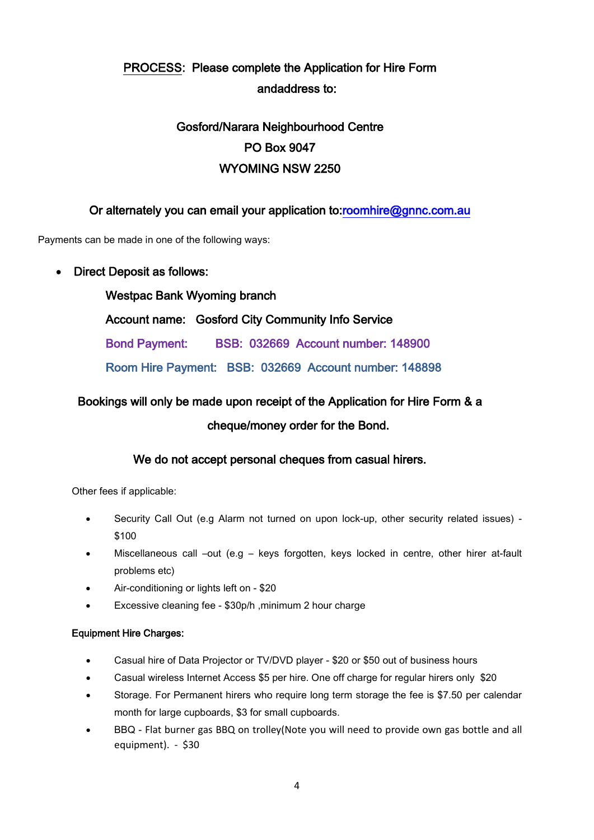### PROCESS: Please complete the Application for Hire Form andaddress to:

### Gosford/Narara Neighbourhood Centre PO Box 9047 WYOMING NSW 2250

### Or alternately you can email your application to[:roomhire@gnnc.com.au](mailto:roomhire@gnnc.com.au)

Payments can be made in one of the following ways:

#### • Direct Deposit as follows:

 Westpac Bank Wyoming branch Account name: Gosford City Community Info Service Bond Payment: BSB: 032669 Account number: 148900 Room Hire Payment: BSB: 032669 Account number: 148898

# Bookings will only be made upon receipt of the Application for Hire Form & a

#### cheque/money order for the Bond.

#### We do not accept personal cheques from casual hirers.

Other fees if applicable:

- Security Call Out (e.g Alarm not turned on upon lock-up, other security related issues) \$100
- Miscellaneous call –out (e.g keys forgotten, keys locked in centre, other hirer at-fault problems etc)
- Air-conditioning or lights left on \$20
- Excessive cleaning fee \$30p/h ,minimum 2 hour charge

#### Equipment Hire Charges:

- Casual hire of Data Projector or TV/DVD player \$20 or \$50 out of business hours
- Casual wireless Internet Access \$5 per hire. One off charge for regular hirers only \$20
- Storage. For Permanent hirers who require long term storage the fee is \$7.50 per calendar month for large cupboards, \$3 for small cupboards.
- BBQ Flat burner gas BBQ on trolley(Note you will need to provide own gas bottle and all equipment). - \$30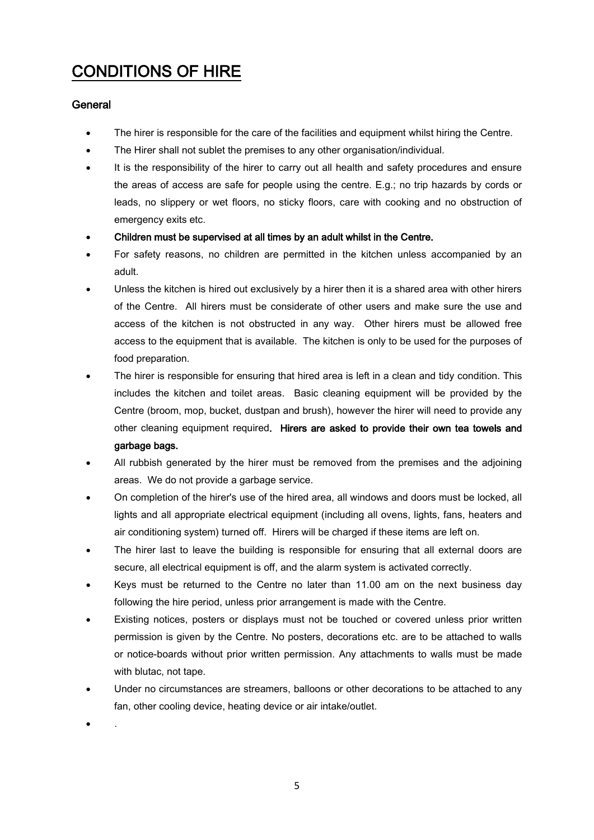# CONDITIONS OF HIRE

#### **General**

- The hirer is responsible for the care of the facilities and equipment whilst hiring the Centre.
- The Hirer shall not sublet the premises to any other organisation/individual.
- It is the responsibility of the hirer to carry out all health and safety procedures and ensure the areas of access are safe for people using the centre. E.g.; no trip hazards by cords or leads, no slippery or wet floors, no sticky floors, care with cooking and no obstruction of emergency exits etc.
- Children must be supervised at all times by an adult whilst in the Centre.
- For safety reasons, no children are permitted in the kitchen unless accompanied by an adult.
- Unless the kitchen is hired out exclusively by a hirer then it is a shared area with other hirers of the Centre. All hirers must be considerate of other users and make sure the use and access of the kitchen is not obstructed in any way. Other hirers must be allowed free access to the equipment that is available. The kitchen is only to be used for the purposes of food preparation.
- The hirer is responsible for ensuring that hired area is left in a clean and tidy condition. This includes the kitchen and toilet areas. Basic cleaning equipment will be provided by the Centre (broom, mop, bucket, dustpan and brush), however the hirer will need to provide any other cleaning equipment required. Hirers are asked to provide their own tea towels and garbage bags.
- All rubbish generated by the hirer must be removed from the premises and the adjoining areas. We do not provide a garbage service.
- On completion of the hirer's use of the hired area, all windows and doors must be locked, all lights and all appropriate electrical equipment (including all ovens, lights, fans, heaters and air conditioning system) turned off. Hirers will be charged if these items are left on.
- The hirer last to leave the building is responsible for ensuring that all external doors are secure, all electrical equipment is off, and the alarm system is activated correctly.
- Keys must be returned to the Centre no later than 11.00 am on the next business day following the hire period, unless prior arrangement is made with the Centre.
- Existing notices, posters or displays must not be touched or covered unless prior written permission is given by the Centre. No posters, decorations etc. are to be attached to walls or notice-boards without prior written permission. Any attachments to walls must be made with blutac, not tape.
- Under no circumstances are streamers, balloons or other decorations to be attached to any fan, other cooling device, heating device or air intake/outlet.

• .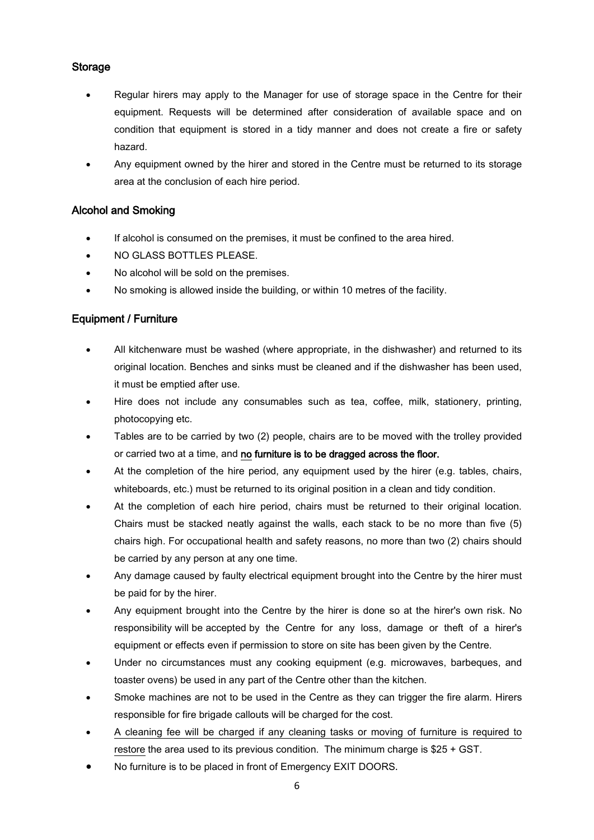#### **Storage**

- Regular hirers may apply to the Manager for use of storage space in the Centre for their equipment. Requests will be determined after consideration of available space and on condition that equipment is stored in a tidy manner and does not create a fire or safety hazard.
- Any equipment owned by the hirer and stored in the Centre must be returned to its storage area at the conclusion of each hire period.

#### Alcohol and Smoking

- If alcohol is consumed on the premises, it must be confined to the area hired.
- NO GLASS BOTTLES PLEASE.
- No alcohol will be sold on the premises.
- No smoking is allowed inside the building, or within 10 metres of the facility.

#### Equipment / Furniture

- All kitchenware must be washed (where appropriate, in the dishwasher) and returned to its original location. Benches and sinks must be cleaned and if the dishwasher has been used, it must be emptied after use.
- Hire does not include any consumables such as tea, coffee, milk, stationery, printing, photocopying etc.
- Tables are to be carried by two (2) people, chairs are to be moved with the trolley provided or carried two at a time, and no furniture is to be dragged across the floor.
- At the completion of the hire period, any equipment used by the hirer (e.g. tables, chairs, whiteboards, etc.) must be returned to its original position in a clean and tidy condition.
- At the completion of each hire period, chairs must be returned to their original location. Chairs must be stacked neatly against the walls, each stack to be no more than five (5) chairs high. For occupational health and safety reasons, no more than two (2) chairs should be carried by any person at any one time.
- Any damage caused by faulty electrical equipment brought into the Centre by the hirer must be paid for by the hirer.
- Any equipment brought into the Centre by the hirer is done so at the hirer's own risk. No responsibility will be accepted by the Centre for any loss, damage or theft of a hirer's equipment or effects even if permission to store on site has been given by the Centre.
- Under no circumstances must any cooking equipment (e.g. microwaves, barbeques, and toaster ovens) be used in any part of the Centre other than the kitchen.
- Smoke machines are not to be used in the Centre as they can trigger the fire alarm. Hirers responsible for fire brigade callouts will be charged for the cost.
- A cleaning fee will be charged if any cleaning tasks or moving of furniture is required to restore the area used to its previous condition. The minimum charge is \$25 + GST.
- No furniture is to be placed in front of Emergency EXIT DOORS.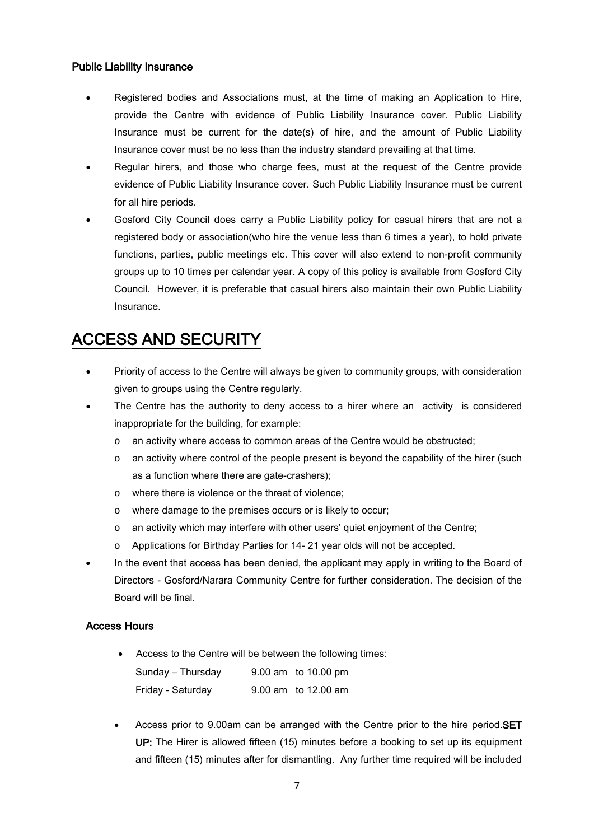#### Public Liability Insurance

- Registered bodies and Associations must, at the time of making an Application to Hire, provide the Centre with evidence of Public Liability Insurance cover. Public Liability Insurance must be current for the date(s) of hire, and the amount of Public Liability Insurance cover must be no less than the industry standard prevailing at that time.
- Regular hirers, and those who charge fees, must at the request of the Centre provide evidence of Public Liability Insurance cover. Such Public Liability Insurance must be current for all hire periods.
- Gosford City Council does carry a Public Liability policy for casual hirers that are not a registered body or association(who hire the venue less than 6 times a year), to hold private functions, parties, public meetings etc. This cover will also extend to non-profit community groups up to 10 times per calendar year. A copy of this policy is available from Gosford City Council. However, it is preferable that casual hirers also maintain their own Public Liability Insurance.

# ACCESS AND SECURITY

- Priority of access to the Centre will always be given to community groups, with consideration given to groups using the Centre regularly.
- The Centre has the authority to deny access to a hirer where an activity is considered inappropriate for the building, for example:
	- o an activity where access to common areas of the Centre would be obstructed;
	- $\circ$  an activity where control of the people present is beyond the capability of the hirer (such as a function where there are gate-crashers);
	- o where there is violence or the threat of violence;
	- o where damage to the premises occurs or is likely to occur;
	- o an activity which may interfere with other users' quiet enjoyment of the Centre;
	- o Applications for Birthday Parties for 14- 21 year olds will not be accepted.
- In the event that access has been denied, the applicant may apply in writing to the Board of Directors - Gosford/Narara Community Centre for further consideration. The decision of the Board will be final.

#### Access Hours

Access to the Centre will be between the following times:

| Sunday - Thursday | 9.00 am to 10.00 pm |
|-------------------|---------------------|
| Friday - Saturday | 9.00 am to 12.00 am |

Access prior to 9.00am can be arranged with the Centre prior to the hire period.SET UP: The Hirer is allowed fifteen (15) minutes before a booking to set up its equipment and fifteen (15) minutes after for dismantling. Any further time required will be included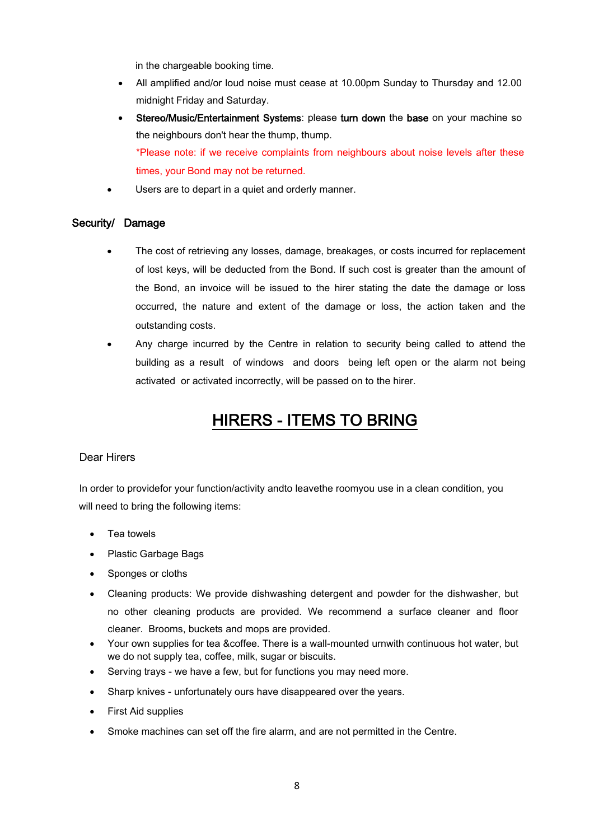in the chargeable booking time.

- All amplified and/or loud noise must cease at 10.00pm Sunday to Thursday and 12.00 midnight Friday and Saturday.
- Stereo/Music/Entertainment Systems: please turn down the base on your machine so the neighbours don't hear the thump, thump. \*Please note: if we receive complaints from neighbours about noise levels after these times, your Bond may not be returned.
- Users are to depart in a quiet and orderly manner.

#### Security/ Damage

- The cost of retrieving any losses, damage, breakages, or costs incurred for replacement of lost keys, will be deducted from the Bond. If such cost is greater than the amount of the Bond, an invoice will be issued to the hirer stating the date the damage or loss occurred, the nature and extent of the damage or loss, the action taken and the outstanding costs.
- Any charge incurred by the Centre in relation to security being called to attend the building as a result of windows and doors being left open or the alarm not being activated or activated incorrectly, will be passed on to the hirer.

# HIRERS - ITEMS TO BRING

#### Dear Hirers

In order to providefor your function/activity andto leavethe roomyou use in a clean condition, you will need to bring the following items:

- Tea towels
- Plastic Garbage Bags
- Sponges or cloths
- Cleaning products: We provide dishwashing detergent and powder for the dishwasher, but no other cleaning products are provided. We recommend a surface cleaner and floor cleaner. Brooms, buckets and mops are provided.
- Your own supplies for tea &coffee. There is a wall-mounted urnwith continuous hot water, but we do not supply tea, coffee, milk, sugar or biscuits.
- Serving trays we have a few, but for functions you may need more.
- Sharp knives unfortunately ours have disappeared over the years.
- First Aid supplies
- Smoke machines can set off the fire alarm, and are not permitted in the Centre.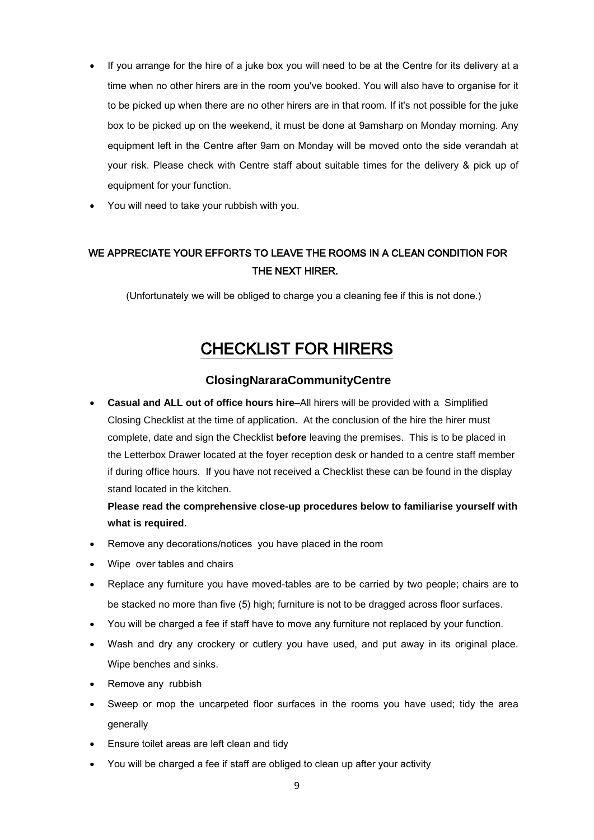- If you arrange for the hire of a juke box you will need to be at the Centre for its delivery at a time when no other hirers are in the room you've booked. You will also have to organise for it to be picked up when there are no other hirers are in that room. If it's not possible for the juke box to be picked up on the weekend, it must be done at 9amsharp on Monday morning. Any equipment left in the Centre after 9am on Monday will be moved onto the side verandah at your risk. Please check with Centre staff about suitable times for the delivery & pick up of equipment for your function.
- You will need to take your rubbish with you.

### WE APPRECIATE YOUR EFFORTS TO LEAVE THE ROOMS IN A CLEAN CONDITION FOR THE NEXT HIRER.

(Unfortunately we will be obliged to charge you a cleaning fee if this is not done.)

### CHECKLIST FOR HIRERS

#### **ClosingNararaCommunityCentre**

• **Casual and ALL out of office hours hire**–All hirers will be provided with a Simplified Closing Checklist at the time of application. At the conclusion of the hire the hirer must complete, date and sign the Checklist **before** leaving the premises. This is to be placed in the Letterbox Drawer located at the foyer reception desk or handed to a centre staff member if during office hours. If you have not received a Checklist these can be found in the display stand located in the kitchen.

**Please read the comprehensive close-up procedures below to familiarise yourself with what is required.**

- Remove any decorations/notices you have placed in the room
- Wipe over tables and chairs
- Replace any furniture you have moved-tables are to be carried by two people; chairs are to be stacked no more than five (5) high; furniture is not to be dragged across floor surfaces.
- You will be charged a fee if staff have to move any furniture not replaced by your function.
- Wash and dry any crockery or cutlery you have used, and put away in its original place. Wipe benches and sinks.
- Remove any rubbish
- Sweep or mop the uncarpeted floor surfaces in the rooms you have used; tidy the area generally
- Ensure toilet areas are left clean and tidy
- You will be charged a fee if staff are obliged to clean up after your activity